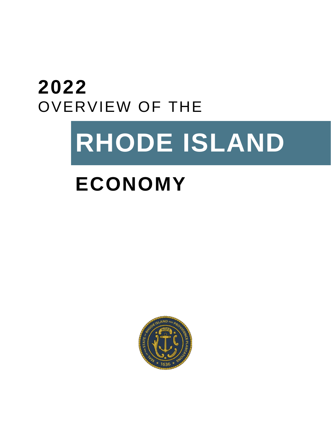# **2022** OVERVIEW OF THE

# **RHODE ISLAND**

# **ECONOMY**

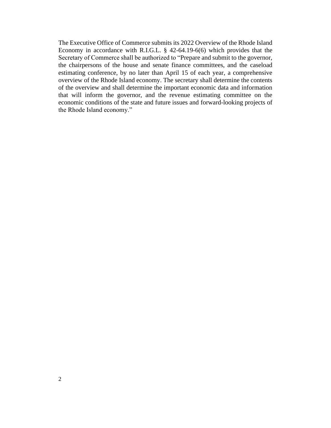The Executive Office of Commerce submits its 2022 Overview of the Rhode Island Economy in accordance with R.I.G.L. § 42-64.19-6(6) which provides that the Secretary of Commerce shall be authorized to "Prepare and submit to the governor, the chairpersons of the house and senate finance committees, and the caseload estimating conference, by no later than April 15 of each year, a comprehensive overview of the Rhode Island economy. The secretary shall determine the contents of the overview and shall determine the important economic data and information that will inform the governor, and the revenue estimating committee on the economic conditions of the state and future issues and forward-looking projects of the Rhode Island economy."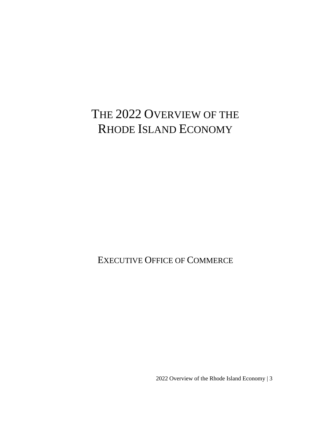# THE 2022 OVERVIEW OF THE RHODE ISLAND ECONOMY

EXECUTIVE OFFICE OF COMMERCE

2022 Overview of the Rhode Island Economy | 3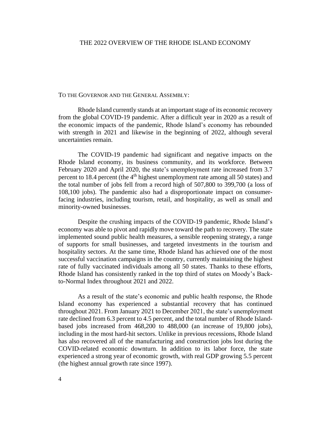#### THE 2022 OVERVIEW OF THE RHODE ISLAND ECONOMY

#### TO THE GOVERNOR AND THE GENERAL ASSEMBLY:

Rhode Island currently stands at an important stage of its economic recovery from the global COVID-19 pandemic. After a difficult year in 2020 as a result of the economic impacts of the pandemic, Rhode Island's economy has rebounded with strength in 2021 and likewise in the beginning of 2022, although several uncertainties remain.

The COVID-19 pandemic had significant and negative impacts on the Rhode Island economy, its business community, and its workforce. Between February 2020 and April 2020, the state's unemployment rate increased from 3.7 percent to 18.4 percent (the 4<sup>th</sup> highest unemployment rate among all 50 states) and the total number of jobs fell from a record high of 507,800 to 399,700 (a loss of 108,100 jobs). The pandemic also had a disproportionate impact on consumerfacing industries, including tourism, retail, and hospitality, as well as small and minority-owned businesses.

Despite the crushing impacts of the COVID-19 pandemic, Rhode Island's economy was able to pivot and rapidly move toward the path to recovery. The state implemented sound public health measures, a sensible reopening strategy, a range of supports for small businesses, and targeted investments in the tourism and hospitality sectors. At the same time, Rhode Island has achieved one of the most successful vaccination campaigns in the country, currently maintaining the highest rate of fully vaccinated individuals among all 50 states. Thanks to these efforts, Rhode Island has consistently ranked in the top third of states on Moody's Backto-Normal Index throughout 2021 and 2022.

As a result of the state's economic and public health response, the Rhode Island economy has experienced a substantial recovery that has continued throughout 2021. From January 2021 to December 2021, the state's unemployment rate declined from 6.3 percent to 4.5 percent, and the total number of Rhode Islandbased jobs increased from 468,200 to 488,000 (an increase of 19,800 jobs), including in the most hard-hit sectors. Unlike in previous recessions, Rhode Island has also recovered all of the manufacturing and construction jobs lost during the COVID-related economic downturn. In addition to its labor force, the state experienced a strong year of economic growth, with real GDP growing 5.5 percent (the highest annual growth rate since 1997).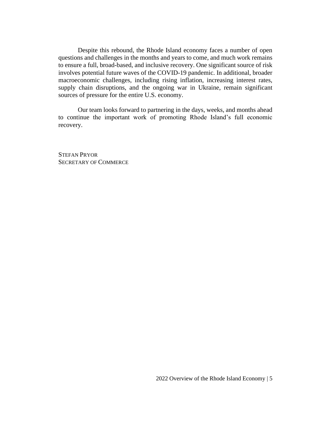Despite this rebound, the Rhode Island economy faces a number of open questions and challenges in the months and years to come, and much work remains to ensure a full, broad-based, and inclusive recovery. One significant source of risk involves potential future waves of the COVID-19 pandemic. In additional, broader macroeconomic challenges, including rising inflation, increasing interest rates, supply chain disruptions, and the ongoing war in Ukraine, remain significant sources of pressure for the entire U.S. economy.

Our team looks forward to partnering in the days, weeks, and months ahead to continue the important work of promoting Rhode Island's full economic recovery.

STEFAN PRYOR SECRETARY OF COMMERCE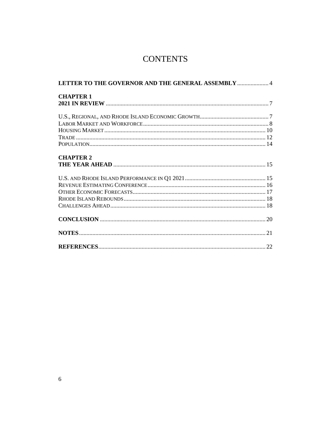# **CONTENTS**

| LETTER TO THE GOVERNOR AND THE GENERAL ASSEMBLY  4 |  |  |  |  |  |
|----------------------------------------------------|--|--|--|--|--|
| <b>CHAPTER 1</b>                                   |  |  |  |  |  |
|                                                    |  |  |  |  |  |
|                                                    |  |  |  |  |  |
|                                                    |  |  |  |  |  |
|                                                    |  |  |  |  |  |
|                                                    |  |  |  |  |  |
| <b>CHAPTER 2</b>                                   |  |  |  |  |  |
|                                                    |  |  |  |  |  |
|                                                    |  |  |  |  |  |
|                                                    |  |  |  |  |  |
|                                                    |  |  |  |  |  |
|                                                    |  |  |  |  |  |
|                                                    |  |  |  |  |  |
|                                                    |  |  |  |  |  |
|                                                    |  |  |  |  |  |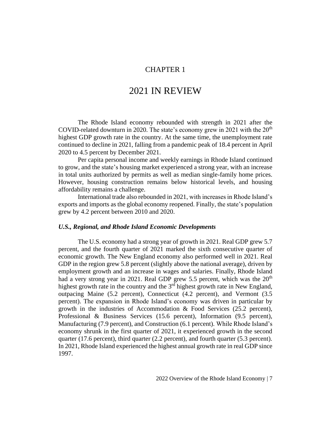#### CHAPTER 1

## 2021 IN REVIEW

The Rhode Island economy rebounded with strength in 2021 after the COVID-related downturn in 2020. The state's economy grew in 2021 with the  $20<sup>th</sup>$ highest GDP growth rate in the country. At the same time, the unemployment rate continued to decline in 2021, falling from a pandemic peak of 18.4 percent in April 2020 to 4.5 percent by December 2021.

Per capita personal income and weekly earnings in Rhode Island continued to grow, and the state's housing market experienced a strong year, with an increase in total units authorized by permits as well as median single-family home prices. However, housing construction remains below historical levels, and housing affordability remains a challenge.

International trade also rebounded in 2021, with increases in Rhode Island's exports and imports as the global economy reopened. Finally, the state's population grew by 4.2 percent between 2010 and 2020.

#### *U.S., Regional, and Rhode Island Economic Developments*

The U.S. economy had a strong year of growth in 2021. Real GDP grew 5.7 percent, and the fourth quarter of 2021 marked the sixth consecutive quarter of economic growth. The New England economy also performed well in 2021. Real GDP in the region grew 5.8 percent (slightly above the national average), driven by employment growth and an increase in wages and salaries. Finally, Rhode Island had a very strong year in 2021. Real GDP grew 5.5 percent, which was the  $20<sup>th</sup>$ highest growth rate in the country and the  $3<sup>rd</sup>$  highest growth rate in New England, outpacing Maine (5.2 percent), Connecticut (4.2 percent), and Vermont (3.5 percent). The expansion in Rhode Island's economy was driven in particular by growth in the industries of Accommodation & Food Services (25.2 percent), Professional & Business Services (15.6 percent), Information (9.5 percent), Manufacturing (7.9 percent), and Construction (6.1 percent). While Rhode Island's economy shrunk in the first quarter of 2021, it experienced growth in the second quarter (17.6 percent), third quarter (2.2 percent), and fourth quarter (5.3 percent). In 2021, Rhode Island experienced the highest annual growth rate in real GDP since 1997.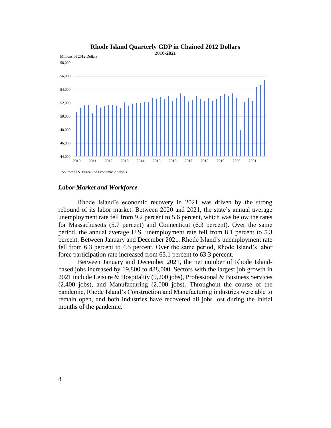

#### **Rhode Island Quarterly GDP in Chained 2012 Dollars 2010-2021**

#### *Labor Market and Workforce*

Rhode Island's economic recovery in 2021 was driven by the strong rebound of its labor market. Between 2020 and 2021, the state's annual average unemployment rate fell from 9.2 percent to 5.6 percent, which was below the rates for Massachusetts (5.7 percent) and Connecticut (6.3 percent). Over the same period, the annual average U.S. unemployment rate fell from 8.1 percent to 5.3 percent. Between January and December 2021, Rhode Island's unemployment rate fell from 6.3 percent to 4.5 percent. Over the same period, Rhode Island's labor force participation rate increased from 63.1 percent to 63.3 percent.

Between January and December 2021, the net number of Rhode Islandbased jobs increased by 19,800 to 488,000. Sectors with the largest job growth in 2021 include Leisure & Hospitality (9,200 jobs), Professional & Business Services (2,400 jobs), and Manufacturing (2,000 jobs). Throughout the course of the pandemic, Rhode Island's Construction and Manufacturing industries were able to remain open, and both industries have recovered all jobs lost during the initial months of the pandemic.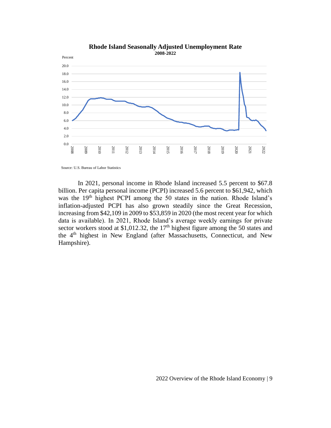

**Rhode Island Seasonally Adjusted Unemployment Rate 2008-2022**

Source: U.S. Bureau of Labor Statistics

In 2021, personal income in Rhode Island increased 5.5 percent to \$67.8 billion. Per capita personal income (PCPI) increased 5.6 percent to \$61,942, which was the 19<sup>th</sup> highest PCPI among the 50 states in the nation. Rhode Island's inflation-adjusted PCPI has also grown steadily since the Great Recession, increasing from \$42,109 in 2009 to \$53,859 in 2020 (the most recent year for which data is available). In 2021, Rhode Island's average weekly earnings for private sector workers stood at \$1,012.32, the 17<sup>th</sup> highest figure among the 50 states and the 4<sup>th</sup> highest in New England (after Massachusetts, Connecticut, and New Hampshire).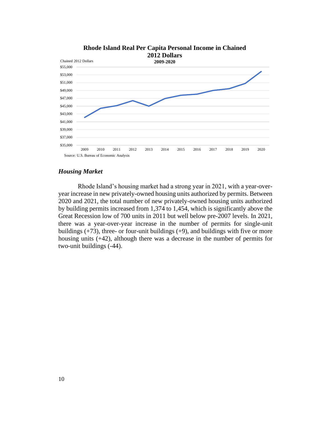

#### *Housing Market*

Rhode Island's housing market had a strong year in 2021, with a year-overyear increase in new privately-owned housing units authorized by permits. Between 2020 and 2021, the total number of new privately-owned housing units authorized by building permits increased from 1,374 to 1,454, which is significantly above the Great Recession low of 700 units in 2011 but well below pre-2007 levels. In 2021, there was a year-over-year increase in the number of permits for single-unit buildings  $(+73)$ , three- or four-unit buildings  $(+9)$ , and buildings with five or more housing units (+42), although there was a decrease in the number of permits for two-unit buildings (-44).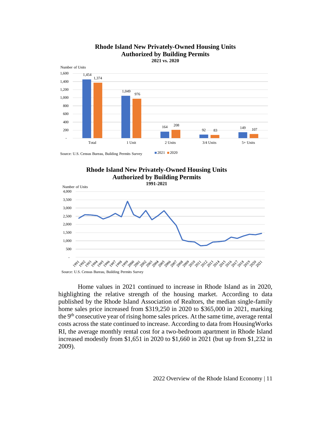

#### **Rhode Island New Privately-Owned Housing Units Authorized by Building Permits 2021 vs. 2020**

**Rhode Island New Privately-Owned Housing Units Authorized by Building Permits** 



Home values in 2021 continued to increase in Rhode Island as in 2020, highlighting the relative strength of the housing market. According to data published by the Rhode Island Association of Realtors, the median single-family home sales price increased from \$319,250 in 2020 to \$365,000 in 2021, marking the 9<sup>th</sup> consecutive year of rising home sales prices. At the same time, average rental costs across the state continued to increase. According to data from HousingWorks RI, the average monthly rental cost for a two-bedroom apartment in Rhode Island increased modestly from \$1,651 in 2020 to \$1,660 in 2021 (but up from \$1,232 in 2009).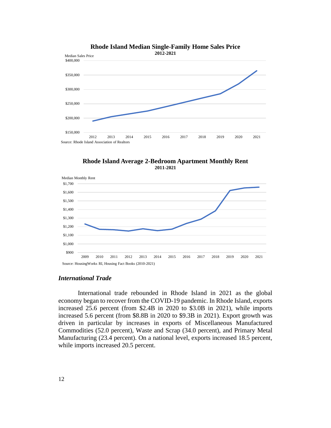





#### *International Trade*

International trade rebounded in Rhode Island in 2021 as the global economy began to recover from the COVID-19 pandemic. In Rhode Island, exports increased 25.6 percent (from \$2.4B in 2020 to \$3.0B in 2021), while imports increased 5.6 percent (from \$8.8B in 2020 to \$9.3B in 2021). Export growth was driven in particular by increases in exports of Miscellaneous Manufactured Commodities (52.0 percent), Waste and Scrap (34.0 percent), and Primary Metal Manufacturing (23.4 percent). On a national level, exports increased 18.5 percent, while imports increased 20.5 percent.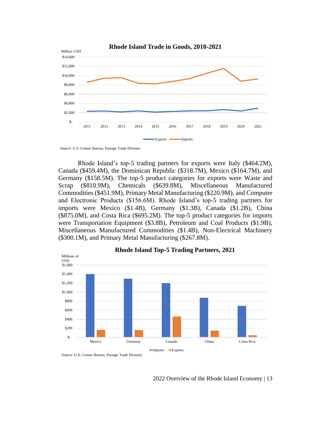

Source: U.S. Census Bureau, Foreign Trade Division

Rhode Island's top-5 trading partners for exports were Italy (\$464.2M), Canada (\$459.4M), the Dominican Republic (\$318.7M), Mexico (\$164.7M), and Germany (\$158.5M). The top-5 product categories for exports were Waste and Scrap (\$810.9M), Chemicals (\$639.8M), Miscellaneous Manufactured Commodities (\$451.9M), Primary Metal Manufacturing (\$220.9M), and Computer and Electronic Products (\$156.6M). Rhode Island's top-5 trading partners for imports were Mexico (\$1.4B), Germany (\$1.3B), Canada (\$1.2B), China (\$875.0M), and Costa Rica (\$695.2M). The top-5 product categories for imports were Transportation Equipment (\$3.8B), Petroleum and Coal Products (\$1.9B), Miscellaneous Manufactured Commodities (\$1.4B), Non-Electrical Machinery (\$300.1M), and Primary Metal Manufacturing (\$267.8M).



#### **Rhode Island Top-5 Trading Partners, 2021**

2022 Overview of the Rhode Island Economy | 13

Source: U.S. Census Bureau, Foreign Trade Division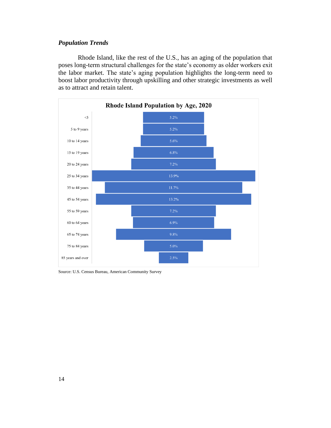#### *Population Trends*

Rhode Island, like the rest of the U.S., has an aging of the population that poses long-term structural challenges for the state's economy as older workers exit the labor market. The state's aging population highlights the long-term need to boost labor productivity through upskilling and other strategic investments as well as to attract and retain talent.



Source: U.S. Census Bureau, American Community Survey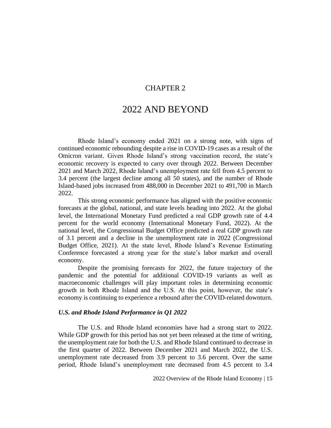#### CHAPTER 2

### 2022 AND BEYOND

Rhode Island's economy ended 2021 on a strong note, with signs of continued economic rebounding despite a rise in COVID-19 cases as a result of the Omicron variant. Given Rhode Island's strong vaccination record, the state's economic recovery is expected to carry over through 2022. Between December 2021 and March 2022, Rhode Island's unemployment rate fell from 4.5 percent to 3.4 percent (the largest decline among all 50 states), and the number of Rhode Island-based jobs increased from 488,000 in December 2021 to 491,700 in March 2022.

This strong economic performance has aligned with the positive economic forecasts at the global, national, and state levels heading into 2022. At the global level, the International Monetary Fund predicted a real GDP growth rate of 4.4 percent for the world economy (International Monetary Fund, 2022). At the national level, the Congressional Budget Office predicted a real GDP growth rate of 3.1 percent and a decline in the unemployment rate in 2022 (Congressional Budget Office, 2021). At the state level, Rhode Island's Revenue Estimating Conference forecasted a strong year for the state's labor market and overall economy.

Despite the promising forecasts for 2022, the future trajectory of the pandemic and the potential for additional COVID-19 variants as well as macroeconomic challenges will play important roles in determining economic growth in both Rhode Island and the U.S. At this point, however, the state's economy is continuing to experience a rebound after the COVID-related downturn.

#### *U.S. and Rhode Island Performance in Q1 2022*

The U.S. and Rhode Island economies have had a strong start to 2022. While GDP growth for this period has not yet been released at the time of writing, the unemployment rate for both the U.S. and Rhode Island continued to decrease in the first quarter of 2022. Between December 2021 and March 2022, the U.S. unemployment rate decreased from 3.9 percent to 3.6 percent. Over the same period, Rhode Island's unemployment rate decreased from 4.5 percent to 3.4

2022 Overview of the Rhode Island Economy | 15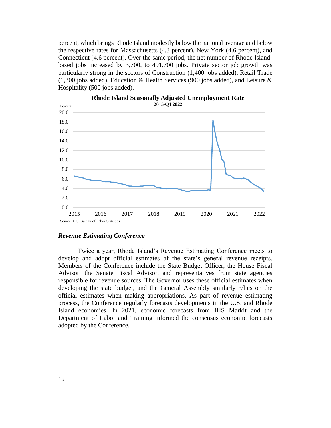percent, which brings Rhode Island modestly below the national average and below the respective rates for Massachusetts (4.3 percent), New York (4.6 percent), and Connecticut (4.6 percent). Over the same period, the net number of Rhode Islandbased jobs increased by 3,700, to 491,700 jobs. Private sector job growth was particularly strong in the sectors of Construction (1,400 jobs added), Retail Trade (1,300 jobs added), Education & Health Services (900 jobs added), and Leisure  $\&$ Hospitality (500 jobs added).



**Rhode Island Seasonally Adjusted Unemployment Rate**

#### *Revenue Estimating Conference*

Twice a year, Rhode Island's Revenue Estimating Conference meets to develop and adopt official estimates of the state's general revenue receipts. Members of the Conference include the State Budget Officer, the House Fiscal Advisor, the Senate Fiscal Advisor, and representatives from state agencies responsible for revenue sources. The Governor uses these official estimates when developing the state budget, and the General Assembly similarly relies on the official estimates when making appropriations. As part of revenue estimating process, the Conference regularly forecasts developments in the U.S. and Rhode Island economies. In 2021, economic forecasts from IHS Markit and the Department of Labor and Training informed the consensus economic forecasts adopted by the Conference.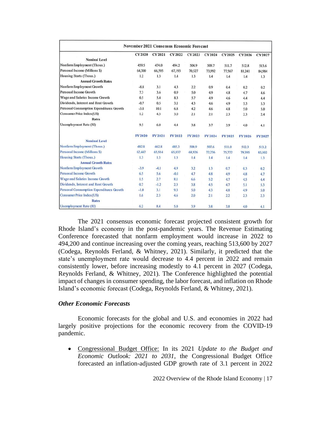| <b>November 2021 Consensus Economic Forecast</b> |               |               |         |               |               |               |               |               |  |  |
|--------------------------------------------------|---------------|---------------|---------|---------------|---------------|---------------|---------------|---------------|--|--|
|                                                  | <b>CY2020</b> | <b>CY2021</b> | CY 2022 | <b>CY2023</b> | <b>CY2024</b> | <b>CY2025</b> | <b>CY2026</b> | CY 2027       |  |  |
| <b>Nominal Level</b>                             |               |               |         |               |               |               |               |               |  |  |
| Nonfarm Employment (Thous.)                      | 459.5         | 474.0         | 494.2   | 504.9         | 509.7         | 511.7         | 512.8         | 513.6         |  |  |
| Personal Income (Millions \$)                    | 64,300        | 66,595        | 67,193  | 70,527        | 73,992        | 77,567        | 81,241        | 84,984        |  |  |
| Housing Starts (Thous.)                          | 1.2           | 1.3           | 1.4     | 1.3           | 1.4           | 1.4           | 1.4           | 1.3           |  |  |
| <b>Annual Growth Rates</b>                       |               |               |         |               |               |               |               |               |  |  |
| Nonfarm Employment Growth                        | $-8.8$        | 3.1           | 4.3     | 2.2           | 0.9           | 0.4           | 0.2           | 0.2           |  |  |
| Personal Income Growth                           | 7.3           | 3.6           | 0.9     | 5.0           | 4.9           | 4.8           | 4.7           | 4.6           |  |  |
| Wage and Salaries Income Growth                  | 0.5           | 5.4           | 8.3     | 5.7           | 4.9           | 4.6           | 4.4           | 4.4           |  |  |
| Dividends, Interest and Rent Growth              | $-0.7$        | 0.5           | 3.1     | 4.3           | 4.6           | 4.9           | 5.3           | 5.3           |  |  |
| Personal Consumption Expenditures Growth         | $-3.8$        | 10.1          | 6.8     | 4.2           | 4.6           | 4.8           | 5.0           | 5.0           |  |  |
| Consumer Price Index (US)                        | 1.2           | 4.3           | 3.0     | 2.1           | 2.1           | 2.3           | 2.3           | 2.4           |  |  |
| Rates                                            |               |               |         |               |               |               |               |               |  |  |
| Unemployment Rate (RI)                           | 9.5           | 6.0           | 4.4     | 3.8           | 3.7           | 3.9           | 4.0           | 4.1           |  |  |
|                                                  | FY 2020       | FY2021        | FY 2022 | <b>FY2023</b> | FY 2024       | FY 2025       | <b>FY2026</b> | <b>FY2027</b> |  |  |
| <b>Nominal Level</b>                             |               |               |         |               |               |               |               |               |  |  |
| Nonfarm Employment (Thous.)                      | 482.8         | 462.8         | 485.3   | 500.9         | 507.6         | 511.0         | 512.3         | 513.2         |  |  |
| Personal Income (Millions \$)                    | 62,447        | 65,914        | 65,837  | 68,926        | 72,236        | 75,772        | 79,395        | 83,102        |  |  |
| <b>Housing Starts (Thous.)</b>                   | 1.3           | 1.3           | 1.3     | 1.4           | 1.4           | 1.4           | 1.4           | 1.3           |  |  |
| <b>Annual Growth Rates</b>                       |               |               |         |               |               |               |               |               |  |  |
| Nonfarm Employment Growth                        | $-3.9$        | $-4.1$        | 4.9     | 3.2           | 1.3           | 0.7           | 0.3           | 0.2           |  |  |
| Personal Income Growth                           | 6.5           | 5.6           | $-0.1$  | 4.7           | 4.8           | 4.9           | 4.8           | 4.7           |  |  |
| Wage and Salaries Income Growth                  | 1.5           | 2.7           | 8.1     | 6.6           | 5.2           | 4.7           | 4.5           | 4.4           |  |  |
| Dividends, Interest and Rent Growth              | 0.7           | $-1.2$        | 2.3     | 3.8           | 4.5           | 4.7           | 5.1           | 5.3           |  |  |
| <b>Personal Consumption Expenditures Growth</b>  | $-1.0$        | 3.1           | 9.3     | 5.0           | 4.3           | 4.8           | 4.9           | 5.0           |  |  |
| <b>Consumer Price Index (US)</b>                 | 1.6           | 2.3           | 4.6     | 2.0           | 2.1           | 2.2           | 2.3           | 2.3           |  |  |
| Rates                                            |               |               |         |               |               |               |               |               |  |  |
| Unemployment Rate (RI)                           | 6.2           | 8.4           | 5.0     | 3.9           | 3.8           | 3.8           | 4.0           | 4.1           |  |  |

The 2021 consensus economic forecast projected consistent growth for Rhode Island's economy in the post-pandemic years. The Revenue Estimating Conference forecasted that nonfarm employment would increase in 2022 to 494,200 and continue increasing over the coming years, reaching 513,600 by 2027 (Codega, Reynolds Ferland, & Whitney, 2021). Similarly, it predicted that the state's unemployment rate would decrease to 4.4 percent in 2022 and remain consistently lower, before increasing modestly to 4.1 percent in 2027 (Codega, Reynolds Ferland, & Whitney, 2021). The Conference highlighted the potential impact of changes in consumer spending, the labor forecast, and inflation on Rhode Island's economic forecast (Codega, Reynolds Ferland, & Whitney, 2021).

#### *Other Economic Forecasts*

Economic forecasts for the global and U.S. and economies in 2022 had largely positive projections for the economic recovery from the COVID-19 pandemic.

• Congressional Budget Office: In its 2021 *Update to the Budget and Economic Outlook: 2021 to 2031*, the Congressional Budget Office forecasted an inflation-adjusted GDP growth rate of 3.1 percent in 2022

2022 Overview of the Rhode Island Economy | 17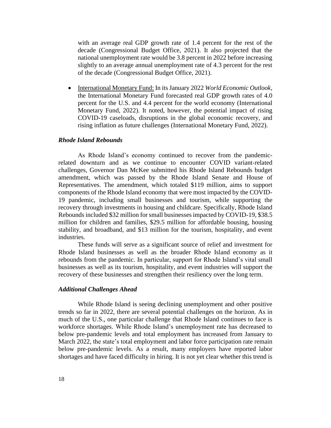with an average real GDP growth rate of 1.4 percent for the rest of the decade (Congressional Budget Office, 2021). It also projected that the national unemployment rate would be 3.8 percent in 2022 before increasing slightly to an average annual unemployment rate of 4.3 percent for the rest of the decade (Congressional Budget Office, 2021).

• International Monetary Fund: In its January 2022 *World Economic Outlook*, the International Monetary Fund forecasted real GDP growth rates of 4.0 percent for the U.S. and 4.4 percent for the world economy (International Monetary Fund, 2022). It noted, however, the potential impact of rising COVID-19 caseloads, disruptions in the global economic recovery, and rising inflation as future challenges (International Monetary Fund, 2022).

#### *Rhode Island Rebounds*

As Rhode Island's economy continued to recover from the pandemicrelated downturn and as we continue to encounter COVID variant-related challenges, Governor Dan McKee submitted his Rhode Island Rebounds budget amendment, which was passed by the Rhode Island Senate and House of Representatives. The amendment, which totaled \$119 million, aims to support components of the Rhode Island economy that were most impacted by the COVID-19 pandemic, including small businesses and tourism, while supporting the recovery through investments in housing and childcare. Specifically, Rhode Island Rebounds included \$32 million for small businesses impacted by COVID-19, \$38.5 million for children and families, \$29.5 million for affordable housing, housing stability, and broadband, and \$13 million for the tourism, hospitality, and event industries.

These funds will serve as a significant source of relief and investment for Rhode Island businesses as well as the broader Rhode Island economy as it rebounds from the pandemic. In particular, support for Rhode Island's vital small businesses as well as its tourism, hospitality, and event industries will support the recovery of these businesses and strengthen their resiliency over the long term.

#### *Additional Challenges Ahead*

While Rhode Island is seeing declining unemployment and other positive trends so far in 2022, there are several potential challenges on the horizon. As in much of the U.S., one particular challenge that Rhode Island continues to face is workforce shortages. While Rhode Island's unemployment rate has decreased to below pre-pandemic levels and total employment has increased from January to March 2022, the state's total employment and labor force participation rate remain below pre-pandemic levels. As a result, many employers have reported labor shortages and have faced difficulty in hiring. It is not yet clear whether this trend is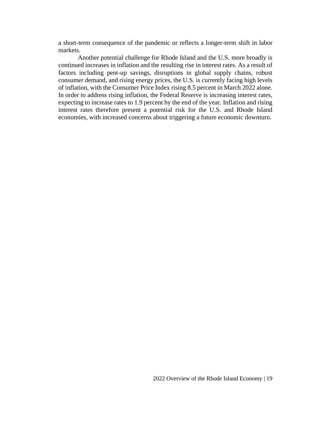a short-term consequence of the pandemic or reflects a longer-term shift in labor markets.

Another potential challenge for Rhode Island and the U.S. more broadly is continued increases in inflation and the resulting rise in interest rates. As a result of factors including pent-up savings, disruptions in global supply chains, robust consumer demand, and rising energy prices, the U.S. is currently facing high levels of inflation, with the Consumer Price Index rising 8.5 percent in March 2022 alone. In order to address rising inflation, the Federal Reserve is increasing interest rates, expecting to increase rates to 1.9 percent by the end of the year. Inflation and rising interest rates therefore present a potential risk for the U.S. and Rhode Island economies, with increased concerns about triggering a future economic downturn.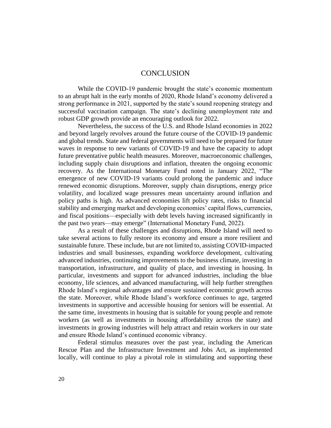#### **CONCLUSION**

While the COVID-19 pandemic brought the state's economic momentum to an abrupt halt in the early months of 2020, Rhode Island's economy delivered a strong performance in 2021, supported by the state's sound reopening strategy and successful vaccination campaign. The state's declining unemployment rate and robust GDP growth provide an encouraging outlook for 2022.

Nevertheless, the success of the U.S. and Rhode Island economies in 2022 and beyond largely revolves around the future course of the COVID-19 pandemic and global trends. State and federal governments will need to be prepared for future waves in response to new variants of COVID-19 and have the capacity to adopt future preventative public health measures. Moreover, macroeconomic challenges, including supply chain disruptions and inflation, threaten the ongoing economic recovery. As the International Monetary Fund noted in January 2022, "The emergence of new COVID-19 variants could prolong the pandemic and induce renewed economic disruptions. Moreover, supply chain disruptions, energy price volatility, and localized wage pressures mean uncertainty around inflation and policy paths is high. As advanced economies lift policy rates, risks to financial stability and emerging market and developing economies' capital flows, currencies, and fiscal positions—especially with debt levels having increased significantly in the past two years—may emerge" (International Monetary Fund, 2022).

As a result of these challenges and disruptions, Rhode Island will need to take several actions to fully restore its economy and ensure a more resilient and sustainable future. These include, but are not limited to, assisting COVID-impacted industries and small businesses, expanding workforce development, cultivating advanced industries, continuing improvements to the business climate, investing in transportation, infrastructure, and quality of place, and investing in housing. In particular, investments and support for advanced industries, including the blue economy, life sciences, and advanced manufacturing, will help further strengthen Rhode Island's regional advantages and ensure sustained economic growth across the state. Moreover, while Rhode Island's workforce continues to age, targeted investments in supportive and accessible housing for seniors will be essential. At the same time, investments in housing that is suitable for young people and remote workers (as well as investments in housing affordability across the state) and investments in growing industries will help attract and retain workers in our state and ensure Rhode Island's continued economic vibrancy.

Federal stimulus measures over the past year, including the American Rescue Plan and the Infrastructure Investment and Jobs Act, as implemented locally, will continue to play a pivotal role in stimulating and supporting these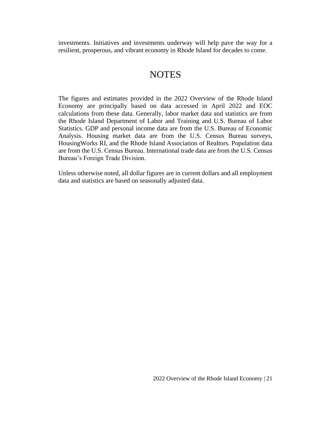investments. Initiatives and investments underway will help pave the way for a resilient, prosperous, and vibrant economy in Rhode Island for decades to come.

# **NOTES**

The figures and estimates provided in the 2022 Overview of the Rhode Island Economy are principally based on data accessed in April 2022 and EOC calculations from these data. Generally, labor market data and statistics are from the Rhode Island Department of Labor and Training and U.S. Bureau of Labor Statistics. GDP and personal income data are from the U.S. Bureau of Economic Analysis. Housing market data are from the U.S. Census Bureau surveys, HousingWorks RI, and the Rhode Island Association of Realtors. Population data are from the U.S. Census Bureau. International trade data are from the U.S. Census Bureau's Foreign Trade Division.

Unless otherwise noted, all dollar figures are in current dollars and all employment data and statistics are based on seasonally adjusted data.